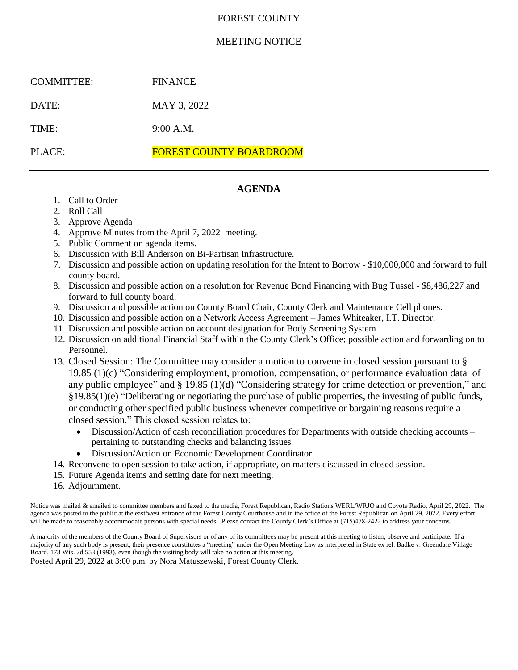# FOREST COUNTY

# MEETING NOTICE

| <b>COMMITTEE:</b> | <b>FINANCE</b>                 |
|-------------------|--------------------------------|
| DATE:             | MAY 3, 2022                    |
| TIME:             | 9:00 A.M.                      |
| PLACE:            | <b>FOREST COUNTY BOARDROOM</b> |

# **AGENDA**

- 1. Call to Order
- 2. Roll Call
- 3. Approve Agenda
- 4. Approve Minutes from the April 7, 2022 meeting.
- 5. Public Comment on agenda items.
- 6. Discussion with Bill Anderson on Bi-Partisan Infrastructure.
- 7. Discussion and possible action on updating resolution for the Intent to Borrow \$10,000,000 and forward to full county board.
- 8. Discussion and possible action on a resolution for Revenue Bond Financing with Bug Tussel \$8,486,227 and forward to full county board.
- 9. Discussion and possible action on County Board Chair, County Clerk and Maintenance Cell phones.
- 10. Discussion and possible action on a Network Access Agreement James Whiteaker, I.T. Director.
- 11. Discussion and possible action on account designation for Body Screening System.
- 12. Discussion on additional Financial Staff within the County Clerk's Office; possible action and forwarding on to Personnel.
- 13. Closed Session: The Committee may consider a motion to convene in closed session pursuant to § 19.85 (1)(c) "Considering employment, promotion, compensation, or performance evaluation data of any public employee" and § 19.85 (1)(d) "Considering strategy for crime detection or prevention," and §19.85(1)(e) "Deliberating or negotiating the purchase of public properties, the investing of public funds, or conducting other specified public business whenever competitive or bargaining reasons require a closed session." This closed session relates to:
	- Discussion/Action of cash reconciliation procedures for Departments with outside checking accounts pertaining to outstanding checks and balancing issues
	- Discussion/Action on Economic Development Coordinator
- 14. Reconvene to open session to take action, if appropriate, on matters discussed in closed session.
- 15. Future Agenda items and setting date for next meeting.
- 16. Adjournment.

Notice was mailed & emailed to committee members and faxed to the media, Forest Republican, Radio Stations WERL/WRJO and Coyote Radio, April 29, 2022. The agenda was posted to the public at the east/west entrance of the Forest County Courthouse and in the office of the Forest Republican on April 29, 2022. Every effort will be made to reasonably accommodate persons with special needs. Please contact the County Clerk's Office at (715)478-2422 to address your concerns.

A majority of the members of the County Board of Supervisors or of any of its committees may be present at this meeting to listen, observe and participate. If a majority of any such body is present, their presence constitutes a "meeting" under the Open Meeting Law as interpreted in State ex rel. Badke v. Greendale Village Board, 173 Wis. 2d 553 (1993), even though the visiting body will take no action at this meeting. Posted April 29, 2022 at 3:00 p.m. by Nora Matuszewski, Forest County Clerk.